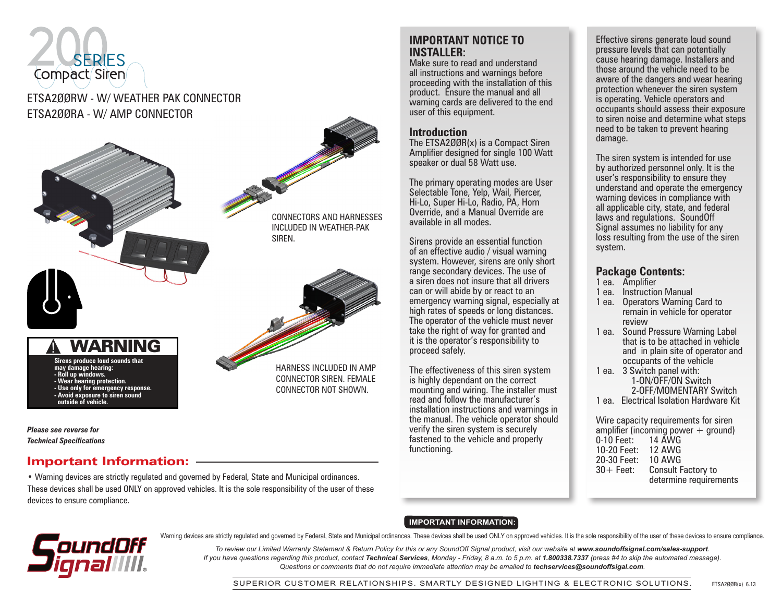# SERIES Compact Siren

## ETSA2ØØRW - W/ WEATHER PAK CONNECTOR ETSA2ØØRA - W/ AMP CONNECTOR



*Please see reverse for Technical Specifications*

#### Important Information:

• Warning devices are strictly regulated and governed by Federal, State and Municipal ordinances. These devices shall be used ONLY on approved vehicles. It is the sole responsibility of the user of these devices to ensure compliance.

#### **IMPORTANT NOTICE TO INSTALLER:**

Make sure to read and understand all instructions and warnings before proceeding with the installation of this product. Ensure the manual and all warning cards are delivered to the end user of this equipment.

#### **Introduction**

The ETSA2ØØR(x) is a Compact Siren Amplifier designed for single 100 Watt speaker or dual 58 Watt use.

The primary operating modes are User Selectable Tone, Yelp, Wail, Piercer, Hi-Lo, Super Hi-Lo, Radio, PA, Horn Override, and a Manual Override are available in all modes.

Sirens provide an essential function of an effective audio / visual warning system. However, sirens are only short range secondary devices. The use of a siren does not insure that all drivers can or will abide by or react to an emergency warning signal, especially at high rates of speeds or long distances. The operator of the vehicle must never take the right of way for granted and it is the operator's responsibility to proceed safely.

The effectiveness of this siren system is highly dependant on the correct mounting and wiring. The installer must read and follow the manufacturer's installation instructions and warnings in the manual. The vehicle operator should verify the siren system is securely fastened to the vehicle and properly functioning.

Effective sirens generate loud sound pressure levels that can potentially cause hearing damage. Installers and those around the vehicle need to be aware of the dangers and wear hearing protection whenever the siren system is operating. Vehicle operators and occupants should assess their exposure to siren noise and determine what steps need to be taken to prevent hearing damage.

The siren system is intended for use by authorized personnel only. It is the user's responsibility to ensure they understand and operate the emergency warning devices in compliance with all applicable city, state, and federal laws and regulations. SoundOff Signal assumes no liability for any loss resulting from the use of the siren system.

#### **Package Contents:**

- 1 ea. Amplifier
- 1 ea. Instruction Manual
- 1 ea. Operators Warning Card to remain in vehicle for operator review
- 1 ea. Sound Pressure Warning Label that is to be attached in vehicle and in plain site of operator and occupants of the vehicle
- 1 ea. 3 Switch panel with: 1-ON/OFF/ON Switch 2-OFF/MOMENTARY Switch
- 1 ea. Electrical Isolation Hardware Kit

Wire capacity requirements for siren amplifier (incoming power  $+$  ground) 0-10 Feet: 14 AWG 10-20 Feet: 12 AWG 20-30 Feet: 10 AWG 30+ Feet: Consult Factory to determine requirements

#### **IMPORTANT INFORMATION:**

**ToundOff** 

Warning devices are strictly regulated and governed by Federal, State and Municipal ordinances. These devices shall be used ONLY on approved vehicles. It is the sole responsibility of the user of these devices to ensure co

*To review our Limited Warranty Statement & Return Policy for this or any SoundOff Signal product, visit our website at www.soundoffsignal.com/sales-support. If you have questions regarding this product, contact Technical Services, Monday - Friday, 8 a.m. to 5 p.m. at 1.800338.7337 (press #4 to skip the automated message). Questions or comments that do not require immediate attention may be emailed to techservices@soundoffsigal.com.*

SUPERIOR CUSTOMER RELATIONSHIPS. SMARTLY DESIGNED LIGHTING & ELECTRONIC SOLUTIONS.

ETSA2ØØR(x) 6.13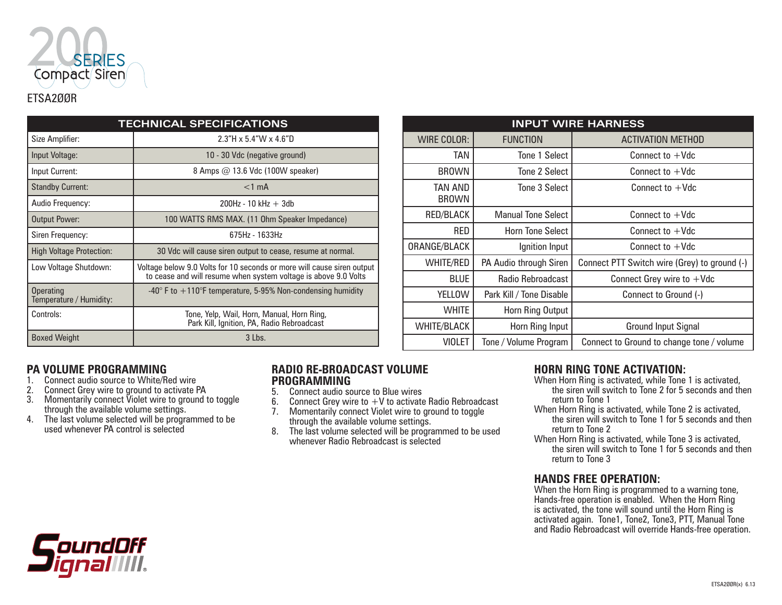

| <b>TECHNICAL SPECIFICATIONS</b>             |                                                                                                                                           |  |
|---------------------------------------------|-------------------------------------------------------------------------------------------------------------------------------------------|--|
| Size Amplifier:                             | $2.3"$ H x 5.4"W x 4.6"D                                                                                                                  |  |
| Input Voltage:                              | 10 - 30 Vdc (negative ground)                                                                                                             |  |
| Input Current:                              | 8 Amps $@$ 13.6 Vdc (100W speaker)                                                                                                        |  |
| <b>Standby Current:</b>                     | $<$ 1 mA                                                                                                                                  |  |
| Audio Frequency:                            | $200Hz - 10 kHz + 3db$                                                                                                                    |  |
| Output Power:                               | 100 WATTS RMS MAX. (11 Ohm Speaker Impedance)                                                                                             |  |
| Siren Frequency:                            | $675Hz - 1633Hz$                                                                                                                          |  |
| <b>High Voltage Protection:</b>             | 30 Vdc will cause siren output to cease, resume at normal.                                                                                |  |
| Low Voltage Shutdown:                       | Voltage below 9.0 Volts for 10 seconds or more will cause siren output<br>to cease and will resume when system voltage is above 9.0 Volts |  |
| <b>Operating</b><br>Temperature / Humidity: | $-40^{\circ}$ F to $+110^{\circ}$ F temperature, 5-95% Non-condensing humidity                                                            |  |
| Controls:                                   | Tone, Yelp, Wail, Horn, Manual, Horn Ring,<br>Park Kill, Ignition, PA, Radio Rebroadcast                                                  |  |
| <b>Boxed Weight</b>                         | 3 Lbs.                                                                                                                                    |  |

| <b>INPUT WIRE HARNESS</b>              |                           |                                              |  |  |
|----------------------------------------|---------------------------|----------------------------------------------|--|--|
| <b>WIRE COLOR:</b>                     | <b>FUNCTION</b>           | <b>ACTIVATION METHOD</b>                     |  |  |
| TAN                                    | Tone 1 Select             | Connect to $+Vdc$                            |  |  |
| <b>BROWN</b>                           | Tone 2 Select             | Connect to $+Vdc$                            |  |  |
| TAN AND<br><b>BROWN</b>                | Tone 3 Select             | Connect to $+Vdc$                            |  |  |
| RED/BLACK                              | <b>Manual Tone Select</b> | Connect to $+Vdc$                            |  |  |
| <b>RED</b>                             | <b>Horn Tone Select</b>   | Connect to $+Vdc$                            |  |  |
| ORANGE/BLACK                           | Ignition Input            | Connect to $+Vdc$                            |  |  |
| <b>WHITE/RED</b>                       | PA Audio through Siren    | Connect PTT Switch wire (Grey) to ground (-) |  |  |
| <b>BLUE</b>                            | Radio Rebroadcast         | Connect Grey wire to $+$ Vdc                 |  |  |
| <b>YELLOW</b>                          | Park Kill / Tone Disable  | Connect to Ground (-)                        |  |  |
| <b>WHITE</b><br>Horn Ring Output       |                           |                                              |  |  |
| <b>WHITE/BLACK</b>                     | Horn Ring Input           | Ground Input Signal                          |  |  |
| <b>VIOLET</b><br>Tone / Volume Program |                           | Connect to Ground to change tone / volume    |  |  |

#### **PA VOLUME PROGRAMMING**

- 1. Connect audio source to White/Red wire<br>2. Connect Grey wire to ground to activate I
- 2. Connect Grey wire to ground to activate PA
- 3. Momentarily connect Violet wire to ground to toggle through the available volume settings.
- 4. The last volume selected will be programmed to be used whenever PA control is selected

# **RADIO RE-BROADCAST VOLUME PROGRAMMING**<br>5. Connect audio so

- 5. Connect audio source to Blue wires<br>6. Connect Grey wire to  $+V$  to activate
- Connect Grey wire to  $+V$  to activate Radio Rebroadcast
- 7. Momentarily connect Violet wire to ground to toggle
- through the available volume settings. 8. The last volume selected will be programmed to be used whenever Radio Rebroadcast is selected

#### **HORN RING TONE ACTIVATION:**

- When Horn Ring is activated, while Tone 1 is activated, the siren will switch to Tone 2 for 5 seconds and then return to Tone 1
- When Horn Ring is activated, while Tone 2 is activated, the siren will switch to Tone 1 for 5 seconds and then return to Tone 2
- When Horn Ring is activated, while Tone 3 is activated, the siren will switch to Tone 1 for 5 seconds and then return to Tone 3

#### **HANDS FREE OPERATION:**

When the Horn Ring is programmed to a warning tone, Hands-free operation is enabled. When the Horn Ring is activated, the tone will sound until the Horn Ring is activated again. Tone1, Tone2, Tone3, PTT, Manual Tone and Radio Rebroadcast will override Hands-free operation.

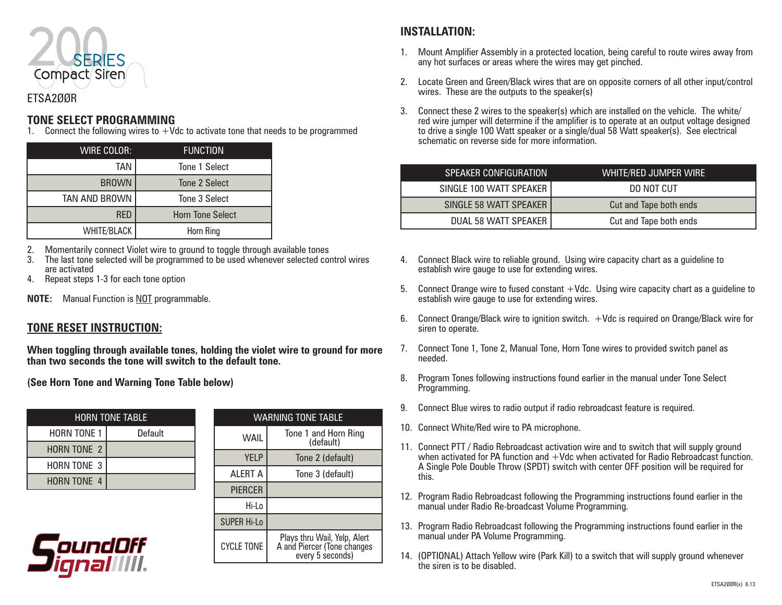

### ETSA2ØØR

#### **TONE SELECT PROGRAMMING**

1. Connect the following wires to  $+$ Vdc to activate tone that needs to be programmed

| <b>WIRE COLOR:</b> | <b>FUNCTION</b>         |
|--------------------|-------------------------|
| <b>TAN</b>         | Tone 1 Select           |
| <b>BROWN</b>       | Tone 2 Select           |
| TAN AND BROWN      | Tone 3 Select           |
| <b>RED</b>         | <b>Horn Tone Select</b> |
| <b>WHITE/BLACK</b> | Horn Ring               |

2. Momentarily connect Violet wire to ground to toggle through available tones

- 3. The last tone selected will be programmed to be used whenever selected control wires are activated
- 4. Repeat steps 1-3 for each tone option
- **NOTE:** Manual Function is NOT programmable.

#### **TONE RESET INSTRUCTION:**

**When toggling through available tones, holding the violet wire to ground for more than two seconds the tone will switch to the default tone.**

**(See Horn Tone and Warning Tone Table below)**

| <b>HORN TONE TABLE</b> |         |  |
|------------------------|---------|--|
| HORN TONE 1            | Default |  |
| <b>HORN TONE 2</b>     |         |  |
| <b>HORN TONE 3</b>     |         |  |
| <b>HORN TONE 4</b>     |         |  |



| <b>WARNING TONE TABLE</b> |                                                                                 |  |
|---------------------------|---------------------------------------------------------------------------------|--|
| WAIL                      | Tone 1 and Horn Ring<br>(default)                                               |  |
| <b>YFLP</b>               | Tone 2 (default)                                                                |  |
| <b>ALERT A</b>            | Tone 3 (default)                                                                |  |
| <b>PIERCER</b>            |                                                                                 |  |
| Hi-Lo                     |                                                                                 |  |
| <b>SUPER Hi-Lo</b>        |                                                                                 |  |
| <b>CYCLE TONE</b>         | Plays thru Wail, Yelp, Alert<br>A and Piercer (Tone changes<br>every 5 seconds) |  |

# **INSTALLATION:**

- 1. Mount Amplifier Assembly in a protected location, being careful to route wires away from any hot surfaces or areas where the wires may get pinched.
- 2. Locate Green and Green/Black wires that are on opposite corners of all other input/control wires. These are the outputs to the speaker(s)
- 3. Connect these 2 wires to the speaker(s) which are installed on the vehicle. The white/ red wire jumper will determine if the amplifier is to operate at an output voltage designed to drive a single 100 Watt speaker or a single/dual 58 Watt speaker(s). See electrical schematic on reverse side for more information.

| <b>SPEAKER CONFIGURATION</b> | WHITE/RED JUMPER WIRE' |
|------------------------------|------------------------|
| SINGLE 100 WATT SPEAKER      | DO NOT CUT             |
| SINGLE 58 WATT SPEAKER       | Cut and Tape both ends |
| DUAL 58 WATT SPEAKER         | Cut and Tape both ends |

- 4. Connect Black wire to reliable ground. Using wire capacity chart as a guideline to establish wire gauge to use for extending wires.
- 5. Connect Orange wire to fused constant +Vdc. Using wire capacity chart as a guideline to establish wire gauge to use for extending wires.
- 6. Connect Orange/Black wire to ignition switch. +Vdc is required on Orange/Black wire for siren to operate.
- 7. Connect Tone 1, Tone 2, Manual Tone, Horn Tone wires to provided switch panel as needed.
- 8. Program Tones following instructions found earlier in the manual under Tone Select Programming.
- 9. Connect Blue wires to radio output if radio rebroadcast feature is required.
- 10. Connect White/Red wire to PA microphone.
- 11. Connect PTT / Radio Rebroadcast activation wire and to switch that will supply ground when activated for PA function and  $+V$ dc when activated for Radio Rebroadcast function. A Single Pole Double Throw (SPDT) switch with center OFF position will be required for this.
- 12. Program Radio Rebroadcast following the Programming instructions found earlier in the manual under Radio Re-broadcast Volume Programming.
- 13. Program Radio Rebroadcast following the Programming instructions found earlier in the manual under PA Volume Programming.
- 14. (OPTIONAL) Attach Yellow wire (Park Kill) to a switch that will supply ground whenever the siren is to be disabled.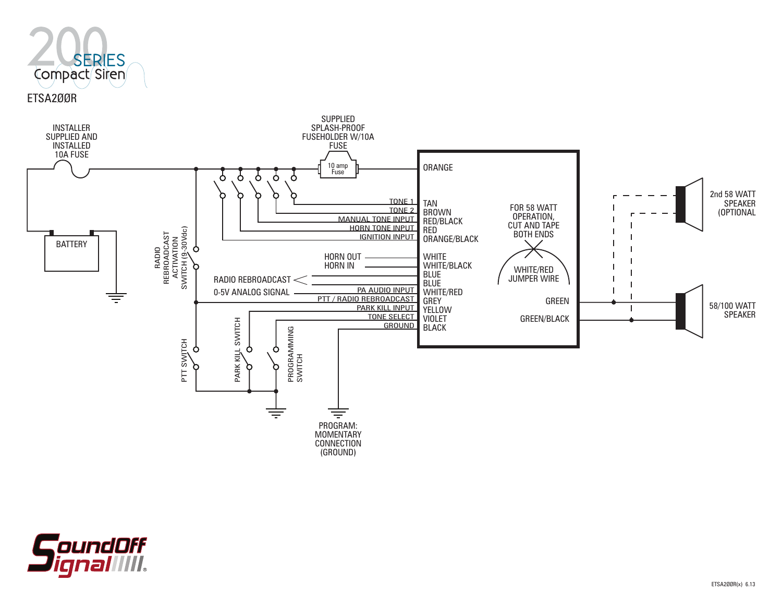